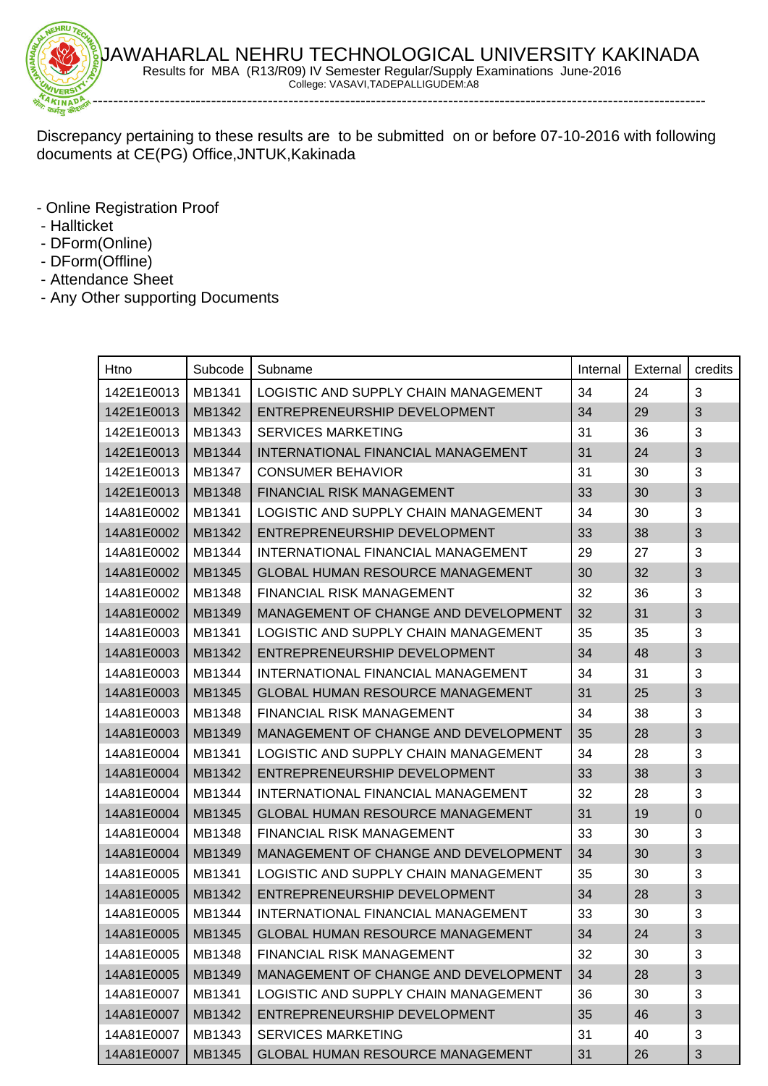

Discrepancy pertaining to these results are to be submitted on or before 07-10-2016 with following documents at CE(PG) Office,JNTUK,Kakinada

- Online Registration Proof
- Hallticket
- DForm(Online)
- DForm(Offline)
- Attendance Sheet
- Any Other supporting Documents

| Htno       | Subcode | Subname                                                | Internal | External | credits      |
|------------|---------|--------------------------------------------------------|----------|----------|--------------|
| 142E1E0013 | MB1341  | LOGISTIC AND SUPPLY CHAIN MANAGEMENT                   | 34       | 24       | 3            |
| 142E1E0013 | MB1342  | ENTREPRENEURSHIP DEVELOPMENT                           | 34       | 29       | 3            |
| 142E1E0013 | MB1343  | <b>SERVICES MARKETING</b>                              | 31       | 36       | 3            |
| 142E1E0013 | MB1344  | INTERNATIONAL FINANCIAL MANAGEMENT                     | 31       | 24       | 3            |
| 142E1E0013 | MB1347  | <b>CONSUMER BEHAVIOR</b>                               | 31       | 30       | 3            |
| 142E1E0013 | MB1348  | FINANCIAL RISK MANAGEMENT                              | 33       | 30       | 3            |
| 14A81E0002 | MB1341  | LOGISTIC AND SUPPLY CHAIN MANAGEMENT                   | 34       | 30       | 3            |
| 14A81E0002 | MB1342  | ENTREPRENEURSHIP DEVELOPMENT                           | 33       | 38       | 3            |
| 14A81E0002 | MB1344  | INTERNATIONAL FINANCIAL MANAGEMENT                     | 29       | 27       | 3            |
| 14A81E0002 | MB1345  | <b>GLOBAL HUMAN RESOURCE MANAGEMENT</b>                | 30       | 32       | 3            |
| 14A81E0002 | MB1348  | FINANCIAL RISK MANAGEMENT                              | 32       | 36       | 3            |
| 14A81E0002 | MB1349  | MANAGEMENT OF CHANGE AND DEVELOPMENT                   | 32       | 31       | 3            |
| 14A81E0003 | MB1341  | LOGISTIC AND SUPPLY CHAIN MANAGEMENT                   | 35       | 35       | 3            |
| 14A81E0003 | MB1342  | ENTREPRENEURSHIP DEVELOPMENT                           | 34       | 48       | 3            |
| 14A81E0003 | MB1344  | INTERNATIONAL FINANCIAL MANAGEMENT                     | 34       | 31       | 3            |
| 14A81E0003 | MB1345  | <b>GLOBAL HUMAN RESOURCE MANAGEMENT</b>                | 31       | 25       | 3            |
| 14A81E0003 | MB1348  | <b>FINANCIAL RISK MANAGEMENT</b>                       | 34       | 38       | 3            |
| 14A81E0003 | MB1349  | MANAGEMENT OF CHANGE AND DEVELOPMENT                   | 35       | 28       | 3            |
| 14A81E0004 | MB1341  | LOGISTIC AND SUPPLY CHAIN MANAGEMENT                   | 34       | 28       | 3            |
| 14A81E0004 | MB1342  | ENTREPRENEURSHIP DEVELOPMENT                           | 33       | 38       | 3            |
| 14A81E0004 | MB1344  | INTERNATIONAL FINANCIAL MANAGEMENT                     | 32       | 28       | 3            |
| 14A81E0004 | MB1345  | <b>GLOBAL HUMAN RESOURCE MANAGEMENT</b>                | 31       | 19       | 0            |
| 14A81E0004 | MB1348  | FINANCIAL RISK MANAGEMENT                              | 33       | 30       | 3            |
| 14A81E0004 | MB1349  | MANAGEMENT OF CHANGE AND DEVELOPMENT                   | 34       | 30       | 3            |
| 14A81E0005 | MB1341  | LOGISTIC AND SUPPLY CHAIN MANAGEMENT                   | 35       | 30       | 3            |
| 14A81E0005 | MB1342  | ENTREPRENEURSHIP DEVELOPMENT                           | 34       | 28       | 3            |
| 14A81E0005 | MB1344  | INTERNATIONAL FINANCIAL MANAGEMENT                     | 33       | 30       | 3            |
|            |         | 14A81E0005   MB1345   GLOBAL HUMAN RESOURCE MANAGEMENT | 34       | 24       | $\sqrt{3}$   |
| 14A81E0005 | MB1348  | FINANCIAL RISK MANAGEMENT                              | 32       | 30       | 3            |
| 14A81E0005 | MB1349  | MANAGEMENT OF CHANGE AND DEVELOPMENT                   | 34       | 28       | 3            |
| 14A81E0007 | MB1341  | LOGISTIC AND SUPPLY CHAIN MANAGEMENT                   | 36       | 30       | 3            |
| 14A81E0007 | MB1342  | ENTREPRENEURSHIP DEVELOPMENT                           | 35       | 46       | 3            |
| 14A81E0007 | MB1343  | <b>SERVICES MARKETING</b>                              | 31       | 40       | 3            |
| 14A81E0007 | MB1345  | <b>GLOBAL HUMAN RESOURCE MANAGEMENT</b>                | 31       | 26       | $\mathbf{3}$ |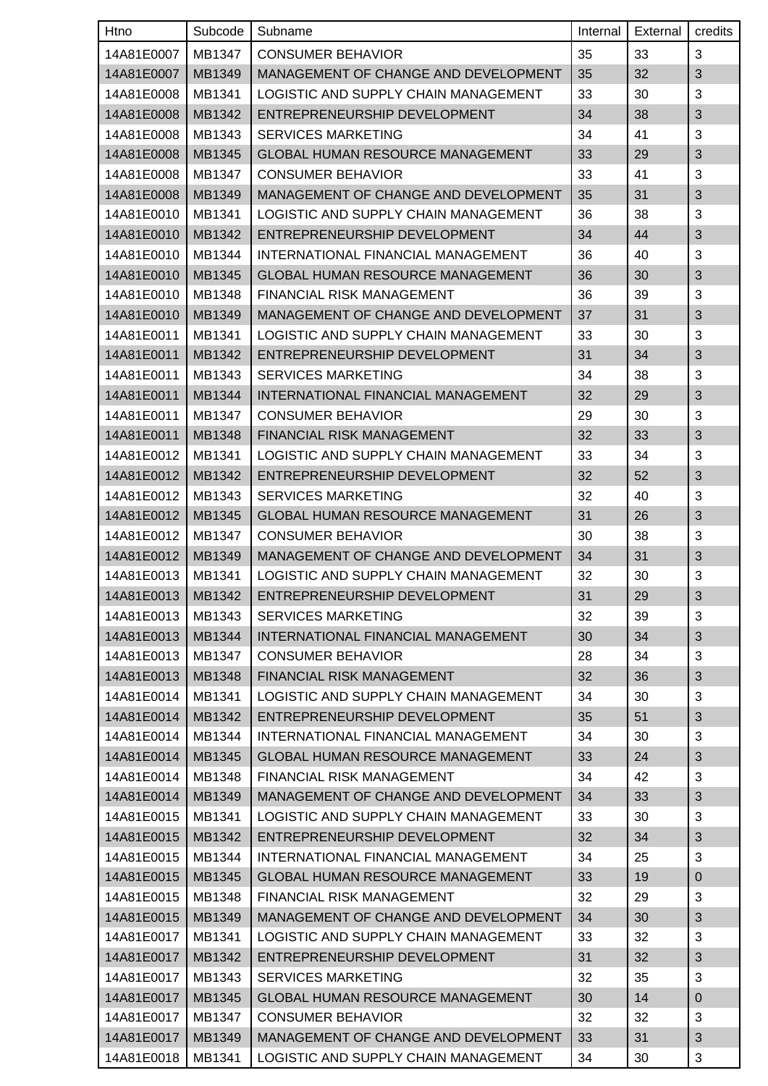| Htno       | Subcode | Subname                                            | Internal | External | credits        |
|------------|---------|----------------------------------------------------|----------|----------|----------------|
| 14A81E0007 | MB1347  | <b>CONSUMER BEHAVIOR</b>                           | 35       | 33       | 3              |
| 14A81E0007 | MB1349  | MANAGEMENT OF CHANGE AND DEVELOPMENT               | 35       | 32       | 3              |
| 14A81E0008 | MB1341  | LOGISTIC AND SUPPLY CHAIN MANAGEMENT               | 33       | 30       | 3              |
| 14A81E0008 | MB1342  | ENTREPRENEURSHIP DEVELOPMENT                       | 34       | 38       | 3              |
| 14A81E0008 | MB1343  | <b>SERVICES MARKETING</b>                          | 34       | 41       | 3              |
| 14A81E0008 | MB1345  | <b>GLOBAL HUMAN RESOURCE MANAGEMENT</b>            | 33       | 29       | 3              |
| 14A81E0008 | MB1347  | <b>CONSUMER BEHAVIOR</b>                           | 33       | 41       | 3              |
| 14A81E0008 | MB1349  | MANAGEMENT OF CHANGE AND DEVELOPMENT               | 35       | 31       | 3              |
| 14A81E0010 | MB1341  | LOGISTIC AND SUPPLY CHAIN MANAGEMENT               | 36       | 38       | 3              |
| 14A81E0010 | MB1342  | ENTREPRENEURSHIP DEVELOPMENT                       | 34       | 44       | 3              |
| 14A81E0010 | MB1344  | INTERNATIONAL FINANCIAL MANAGEMENT                 | 36       | 40       | 3              |
| 14A81E0010 | MB1345  | <b>GLOBAL HUMAN RESOURCE MANAGEMENT</b>            | 36       | 30       | 3              |
| 14A81E0010 | MB1348  | FINANCIAL RISK MANAGEMENT                          | 36       | 39       | 3              |
| 14A81E0010 | MB1349  | MANAGEMENT OF CHANGE AND DEVELOPMENT               | 37       | 31       | 3              |
| 14A81E0011 | MB1341  | LOGISTIC AND SUPPLY CHAIN MANAGEMENT               | 33       | 30       | 3              |
| 14A81E0011 | MB1342  | ENTREPRENEURSHIP DEVELOPMENT                       | 31       | 34       | 3              |
| 14A81E0011 | MB1343  | <b>SERVICES MARKETING</b>                          | 34       | 38       | 3              |
| 14A81E0011 | MB1344  | INTERNATIONAL FINANCIAL MANAGEMENT                 | 32       | 29       | 3              |
| 14A81E0011 | MB1347  | <b>CONSUMER BEHAVIOR</b>                           | 29       | 30       | 3              |
| 14A81E0011 | MB1348  | <b>FINANCIAL RISK MANAGEMENT</b>                   | 32       | 33       | 3              |
| 14A81E0012 | MB1341  | LOGISTIC AND SUPPLY CHAIN MANAGEMENT               | 33       | 34       | 3              |
| 14A81E0012 | MB1342  | ENTREPRENEURSHIP DEVELOPMENT                       | 32       | 52       | 3              |
| 14A81E0012 | MB1343  | <b>SERVICES MARKETING</b>                          | 32       | 40       | 3              |
| 14A81E0012 | MB1345  | <b>GLOBAL HUMAN RESOURCE MANAGEMENT</b>            | 31       | 26       | 3              |
| 14A81E0012 | MB1347  | <b>CONSUMER BEHAVIOR</b>                           | 30       | 38       | 3              |
| 14A81E0012 | MB1349  | MANAGEMENT OF CHANGE AND DEVELOPMENT               | 34       | 31       | 3              |
| 14A81E0013 | MB1341  | LOGISTIC AND SUPPLY CHAIN MANAGEMENT               | 32       | 30       | 3              |
|            |         | 14A81E0013   MB1342   ENTREPRENEURSHIP DEVELOPMENT | 31       | 29       | 3              |
| 14A81E0013 | MB1343  | <b>SERVICES MARKETING</b>                          | 32       | 39       | 3              |
| 14A81E0013 | MB1344  | INTERNATIONAL FINANCIAL MANAGEMENT                 | 30       | 34       | $\mathfrak{S}$ |
| 14A81E0013 | MB1347  | <b>CONSUMER BEHAVIOR</b>                           | 28       | 34       | 3              |
| 14A81E0013 | MB1348  | FINANCIAL RISK MANAGEMENT                          | 32       | 36       | 3              |
| 14A81E0014 | MB1341  | LOGISTIC AND SUPPLY CHAIN MANAGEMENT               | 34       | 30       | 3              |
| 14A81E0014 | MB1342  | ENTREPRENEURSHIP DEVELOPMENT                       | 35       | 51       | 3              |
| 14A81E0014 | MB1344  | INTERNATIONAL FINANCIAL MANAGEMENT                 | 34       | 30       | 3              |
| 14A81E0014 | MB1345  | <b>GLOBAL HUMAN RESOURCE MANAGEMENT</b>            | 33       | 24       | 3              |
| 14A81E0014 | MB1348  | FINANCIAL RISK MANAGEMENT                          | 34       | 42       | 3              |
| 14A81E0014 | MB1349  | MANAGEMENT OF CHANGE AND DEVELOPMENT               | 34       | 33       | 3              |
| 14A81E0015 | MB1341  | LOGISTIC AND SUPPLY CHAIN MANAGEMENT               | 33       | 30       | 3              |
| 14A81E0015 | MB1342  | ENTREPRENEURSHIP DEVELOPMENT                       | 32       | 34       | $\sqrt{3}$     |
| 14A81E0015 | MB1344  | INTERNATIONAL FINANCIAL MANAGEMENT                 | 34       | 25       | 3              |
| 14A81E0015 | MB1345  | <b>GLOBAL HUMAN RESOURCE MANAGEMENT</b>            | 33       | 19       | 0              |
| 14A81E0015 | MB1348  | FINANCIAL RISK MANAGEMENT                          | 32       | 29       | 3              |
| 14A81E0015 | MB1349  | MANAGEMENT OF CHANGE AND DEVELOPMENT               | 34       | 30       | 3              |
| 14A81E0017 | MB1341  | LOGISTIC AND SUPPLY CHAIN MANAGEMENT               | 33       | 32       | 3              |
| 14A81E0017 | MB1342  | ENTREPRENEURSHIP DEVELOPMENT                       | 31       | 32       | 3              |
| 14A81E0017 | MB1343  | <b>SERVICES MARKETING</b>                          | 32       | 35       | 3              |
| 14A81E0017 | MB1345  | <b>GLOBAL HUMAN RESOURCE MANAGEMENT</b>            | 30       | 14       | $\pmb{0}$      |
| 14A81E0017 | MB1347  | <b>CONSUMER BEHAVIOR</b>                           | 32       | 32       | 3              |
| 14A81E0017 | MB1349  | MANAGEMENT OF CHANGE AND DEVELOPMENT               | 33       | 31       | 3              |
| 14A81E0018 | MB1341  | LOGISTIC AND SUPPLY CHAIN MANAGEMENT               | 34       | 30       | 3              |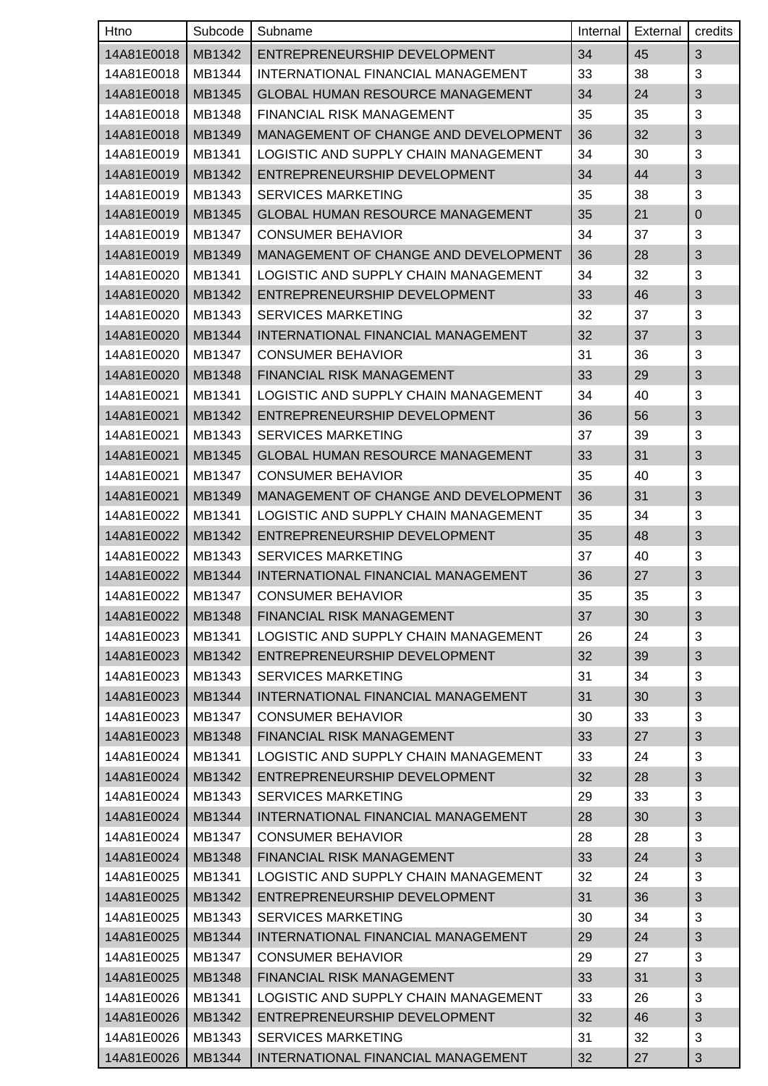| <b>Htno</b> | Subcode | Subname                                 | Internal | External | credits    |
|-------------|---------|-----------------------------------------|----------|----------|------------|
| 14A81E0018  | MB1342  | ENTREPRENEURSHIP DEVELOPMENT            | 34       | 45       | 3          |
| 14A81E0018  | MB1344  | INTERNATIONAL FINANCIAL MANAGEMENT      | 33       | 38       | 3          |
| 14A81E0018  | MB1345  | <b>GLOBAL HUMAN RESOURCE MANAGEMENT</b> | 34       | 24       | 3          |
| 14A81E0018  | MB1348  | <b>FINANCIAL RISK MANAGEMENT</b>        | 35       | 35       | 3          |
| 14A81E0018  | MB1349  | MANAGEMENT OF CHANGE AND DEVELOPMENT    | 36       | 32       | 3          |
| 14A81E0019  | MB1341  | LOGISTIC AND SUPPLY CHAIN MANAGEMENT    | 34       | 30       | 3          |
| 14A81E0019  | MB1342  | ENTREPRENEURSHIP DEVELOPMENT            | 34       | 44       | 3          |
| 14A81E0019  | MB1343  | <b>SERVICES MARKETING</b>               | 35       | 38       | 3          |
| 14A81E0019  | MB1345  | <b>GLOBAL HUMAN RESOURCE MANAGEMENT</b> | 35       | 21       | 0          |
| 14A81E0019  | MB1347  | <b>CONSUMER BEHAVIOR</b>                | 34       | 37       | 3          |
| 14A81E0019  | MB1349  | MANAGEMENT OF CHANGE AND DEVELOPMENT    | 36       | 28       | 3          |
| 14A81E0020  | MB1341  | LOGISTIC AND SUPPLY CHAIN MANAGEMENT    | 34       | 32       | 3          |
| 14A81E0020  | MB1342  | ENTREPRENEURSHIP DEVELOPMENT            | 33       | 46       | 3          |
| 14A81E0020  | MB1343  | <b>SERVICES MARKETING</b>               | 32       | 37       | 3          |
| 14A81E0020  | MB1344  | INTERNATIONAL FINANCIAL MANAGEMENT      | 32       | 37       | 3          |
| 14A81E0020  | MB1347  | <b>CONSUMER BEHAVIOR</b>                | 31       | 36       | 3          |
| 14A81E0020  | MB1348  | <b>FINANCIAL RISK MANAGEMENT</b>        | 33       | 29       | 3          |
| 14A81E0021  | MB1341  | LOGISTIC AND SUPPLY CHAIN MANAGEMENT    | 34       | 40       | 3          |
| 14A81E0021  | MB1342  | ENTREPRENEURSHIP DEVELOPMENT            | 36       | 56       | 3          |
| 14A81E0021  | MB1343  | <b>SERVICES MARKETING</b>               | 37       | 39       | 3          |
| 14A81E0021  | MB1345  | <b>GLOBAL HUMAN RESOURCE MANAGEMENT</b> | 33       | 31       | 3          |
| 14A81E0021  | MB1347  | <b>CONSUMER BEHAVIOR</b>                | 35       | 40       | 3          |
| 14A81E0021  | MB1349  | MANAGEMENT OF CHANGE AND DEVELOPMENT    | 36       | 31       | 3          |
| 14A81E0022  | MB1341  | LOGISTIC AND SUPPLY CHAIN MANAGEMENT    | 35       | 34       | 3          |
| 14A81E0022  | MB1342  | ENTREPRENEURSHIP DEVELOPMENT            | 35       | 48       | 3          |
| 14A81E0022  | MB1343  | <b>SERVICES MARKETING</b>               | 37       | 40       | 3          |
| 14A81E0022  | MB1344  | INTERNATIONAL FINANCIAL MANAGEMENT      | 36       | 27       | 3          |
| 14A81E0022  | MB1347  | <b>CONSUMER BEHAVIOR</b>                | 35       | 35       | $\sqrt{3}$ |
| 14A81E0022  | MB1348  | FINANCIAL RISK MANAGEMENT               | 37       | 30       | 3          |
| 14A81E0023  | MB1341  | LOGISTIC AND SUPPLY CHAIN MANAGEMENT    | 26       | 24       | 3          |
| 14A81E0023  | MB1342  | ENTREPRENEURSHIP DEVELOPMENT            | 32       | 39       | 3          |
| 14A81E0023  | MB1343  | <b>SERVICES MARKETING</b>               | 31       | 34       | 3          |
| 14A81E0023  | MB1344  | INTERNATIONAL FINANCIAL MANAGEMENT      | 31       | 30       | 3          |
| 14A81E0023  | MB1347  | <b>CONSUMER BEHAVIOR</b>                | 30       | 33       | 3          |
| 14A81E0023  | MB1348  | FINANCIAL RISK MANAGEMENT               | 33       | 27       | 3          |
| 14A81E0024  | MB1341  | LOGISTIC AND SUPPLY CHAIN MANAGEMENT    | 33       | 24       | 3          |
| 14A81E0024  | MB1342  | ENTREPRENEURSHIP DEVELOPMENT            | 32       | 28       | 3          |
| 14A81E0024  | MB1343  | SERVICES MARKETING                      | 29       | 33       | 3          |
| 14A81E0024  | MB1344  | INTERNATIONAL FINANCIAL MANAGEMENT      | 28       | 30       | 3          |
| 14A81E0024  | MB1347  | <b>CONSUMER BEHAVIOR</b>                | 28       | 28       | 3          |
| 14A81E0024  | MB1348  | <b>FINANCIAL RISK MANAGEMENT</b>        | 33       | 24       | 3          |
| 14A81E0025  | MB1341  | LOGISTIC AND SUPPLY CHAIN MANAGEMENT    | 32       | 24       | 3          |
| 14A81E0025  | MB1342  | ENTREPRENEURSHIP DEVELOPMENT            | 31       | 36       | 3          |
| 14A81E0025  | MB1343  | <b>SERVICES MARKETING</b>               | 30       | 34       | 3          |
| 14A81E0025  | MB1344  | INTERNATIONAL FINANCIAL MANAGEMENT      | 29       | 24       | 3          |
| 14A81E0025  | MB1347  | <b>CONSUMER BEHAVIOR</b>                | 29       | 27       | 3          |
| 14A81E0025  | MB1348  | <b>FINANCIAL RISK MANAGEMENT</b>        | 33       | 31       | 3          |
| 14A81E0026  | MB1341  | LOGISTIC AND SUPPLY CHAIN MANAGEMENT    | 33       | 26       | 3          |
| 14A81E0026  | MB1342  | ENTREPRENEURSHIP DEVELOPMENT            | 32       | 46       | 3          |
| 14A81E0026  | MB1343  | <b>SERVICES MARKETING</b>               | 31       | 32       | 3          |
| 14A81E0026  | MB1344  | INTERNATIONAL FINANCIAL MANAGEMENT      | 32       | 27       | 3          |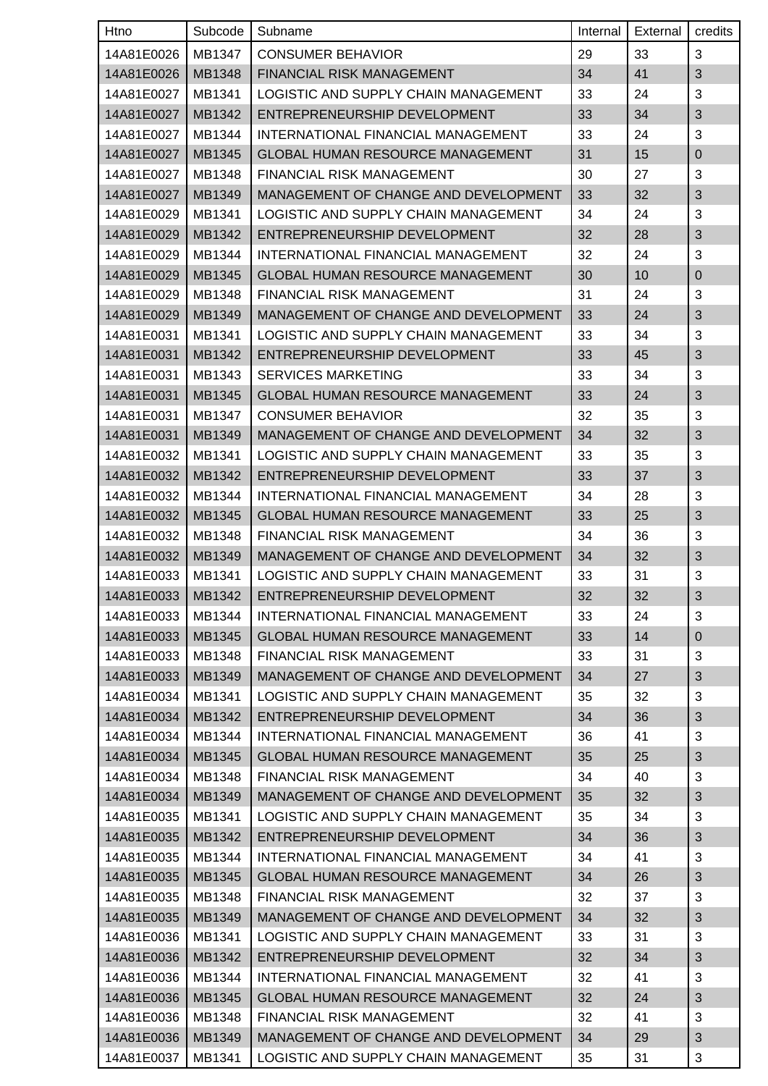| <b>Htno</b> | Subcode | Subname                                            | Internal | External | credits     |
|-------------|---------|----------------------------------------------------|----------|----------|-------------|
| 14A81E0026  | MB1347  | <b>CONSUMER BEHAVIOR</b>                           | 29       | 33       | 3           |
| 14A81E0026  | MB1348  | <b>FINANCIAL RISK MANAGEMENT</b>                   | 34       | 41       | 3           |
| 14A81E0027  | MB1341  | LOGISTIC AND SUPPLY CHAIN MANAGEMENT               | 33       | 24       | 3           |
| 14A81E0027  | MB1342  | ENTREPRENEURSHIP DEVELOPMENT                       | 33       | 34       | 3           |
| 14A81E0027  | MB1344  | INTERNATIONAL FINANCIAL MANAGEMENT                 | 33       | 24       | 3           |
| 14A81E0027  | MB1345  | <b>GLOBAL HUMAN RESOURCE MANAGEMENT</b>            | 31       | 15       | $\mathbf 0$ |
| 14A81E0027  | MB1348  | FINANCIAL RISK MANAGEMENT                          | 30       | 27       | 3           |
| 14A81E0027  | MB1349  | MANAGEMENT OF CHANGE AND DEVELOPMENT               | 33       | 32       | 3           |
| 14A81E0029  | MB1341  | LOGISTIC AND SUPPLY CHAIN MANAGEMENT               | 34       | 24       | 3           |
| 14A81E0029  | MB1342  | ENTREPRENEURSHIP DEVELOPMENT                       | 32       | 28       | 3           |
| 14A81E0029  | MB1344  | INTERNATIONAL FINANCIAL MANAGEMENT                 | 32       | 24       | 3           |
| 14A81E0029  | MB1345  | <b>GLOBAL HUMAN RESOURCE MANAGEMENT</b>            | 30       | 10       | 0           |
| 14A81E0029  | MB1348  | <b>FINANCIAL RISK MANAGEMENT</b>                   | 31       | 24       | 3           |
| 14A81E0029  | MB1349  | MANAGEMENT OF CHANGE AND DEVELOPMENT               | 33       | 24       | 3           |
| 14A81E0031  | MB1341  | LOGISTIC AND SUPPLY CHAIN MANAGEMENT               | 33       | 34       | 3           |
| 14A81E0031  | MB1342  | ENTREPRENEURSHIP DEVELOPMENT                       | 33       | 45       | 3           |
| 14A81E0031  | MB1343  | <b>SERVICES MARKETING</b>                          | 33       | 34       | 3           |
| 14A81E0031  | MB1345  | <b>GLOBAL HUMAN RESOURCE MANAGEMENT</b>            | 33       | 24       | 3           |
| 14A81E0031  | MB1347  | <b>CONSUMER BEHAVIOR</b>                           | 32       | 35       | 3           |
| 14A81E0031  | MB1349  | MANAGEMENT OF CHANGE AND DEVELOPMENT               | 34       | 32       | 3           |
| 14A81E0032  | MB1341  | LOGISTIC AND SUPPLY CHAIN MANAGEMENT               | 33       | 35       | 3           |
| 14A81E0032  | MB1342  | ENTREPRENEURSHIP DEVELOPMENT                       | 33       | 37       | 3           |
| 14A81E0032  | MB1344  | INTERNATIONAL FINANCIAL MANAGEMENT                 | 34       | 28       | 3           |
| 14A81E0032  | MB1345  | <b>GLOBAL HUMAN RESOURCE MANAGEMENT</b>            | 33       | 25       | 3           |
| 14A81E0032  | MB1348  | FINANCIAL RISK MANAGEMENT                          | 34       | 36       | 3           |
| 14A81E0032  | MB1349  | MANAGEMENT OF CHANGE AND DEVELOPMENT               | 34       | 32       | 3           |
| 14A81E0033  | MB1341  | LOGISTIC AND SUPPLY CHAIN MANAGEMENT               | 33       | 31       | 3           |
|             |         | 14A81E0033   MB1342   ENTREPRENEURSHIP DEVELOPMENT | 32       | 32       | 3           |
| 14A81E0033  | MB1344  | INTERNATIONAL FINANCIAL MANAGEMENT                 | 33       | 24       | 3           |
| 14A81E0033  | MB1345  | <b>GLOBAL HUMAN RESOURCE MANAGEMENT</b>            | 33       | 14       | 0           |
| 14A81E0033  | MB1348  | FINANCIAL RISK MANAGEMENT                          | 33       | 31       | 3           |
| 14A81E0033  | MB1349  | MANAGEMENT OF CHANGE AND DEVELOPMENT               | 34       | 27       | 3           |
| 14A81E0034  | MB1341  | LOGISTIC AND SUPPLY CHAIN MANAGEMENT               | 35       | 32       | 3           |
| 14A81E0034  | MB1342  | ENTREPRENEURSHIP DEVELOPMENT                       | 34       | 36       | 3           |
| 14A81E0034  | MB1344  | INTERNATIONAL FINANCIAL MANAGEMENT                 | 36       | 41       | 3           |
| 14A81E0034  | MB1345  | GLOBAL HUMAN RESOURCE MANAGEMENT                   | 35       | 25       | 3           |
| 14A81E0034  | MB1348  | FINANCIAL RISK MANAGEMENT                          | 34       | 40       | 3           |
| 14A81E0034  | MB1349  | MANAGEMENT OF CHANGE AND DEVELOPMENT               | 35       | 32       | 3           |
| 14A81E0035  | MB1341  | LOGISTIC AND SUPPLY CHAIN MANAGEMENT               | 35       | 34       | 3           |
| 14A81E0035  | MB1342  | ENTREPRENEURSHIP DEVELOPMENT                       | 34       | 36       | 3           |
| 14A81E0035  | MB1344  | INTERNATIONAL FINANCIAL MANAGEMENT                 | 34       | 41       | 3           |
| 14A81E0035  | MB1345  | <b>GLOBAL HUMAN RESOURCE MANAGEMENT</b>            | 34       | 26       | 3           |
| 14A81E0035  | MB1348  | FINANCIAL RISK MANAGEMENT                          | 32       | 37       | 3           |
| 14A81E0035  | MB1349  | MANAGEMENT OF CHANGE AND DEVELOPMENT               | 34       | 32       | 3           |
| 14A81E0036  | MB1341  | LOGISTIC AND SUPPLY CHAIN MANAGEMENT               | 33       | 31       | 3           |
| 14A81E0036  | MB1342  | ENTREPRENEURSHIP DEVELOPMENT                       | 32       | 34       | 3           |
| 14A81E0036  | MB1344  | INTERNATIONAL FINANCIAL MANAGEMENT                 | 32       | 41       | 3           |
| 14A81E0036  | MB1345  | <b>GLOBAL HUMAN RESOURCE MANAGEMENT</b>            | 32       | 24       | 3           |
| 14A81E0036  | MB1348  | FINANCIAL RISK MANAGEMENT                          | 32       | 41       | 3           |
| 14A81E0036  | MB1349  | MANAGEMENT OF CHANGE AND DEVELOPMENT               | 34       | 29       | 3           |
| 14A81E0037  | MB1341  | LOGISTIC AND SUPPLY CHAIN MANAGEMENT               | 35       | 31       | 3           |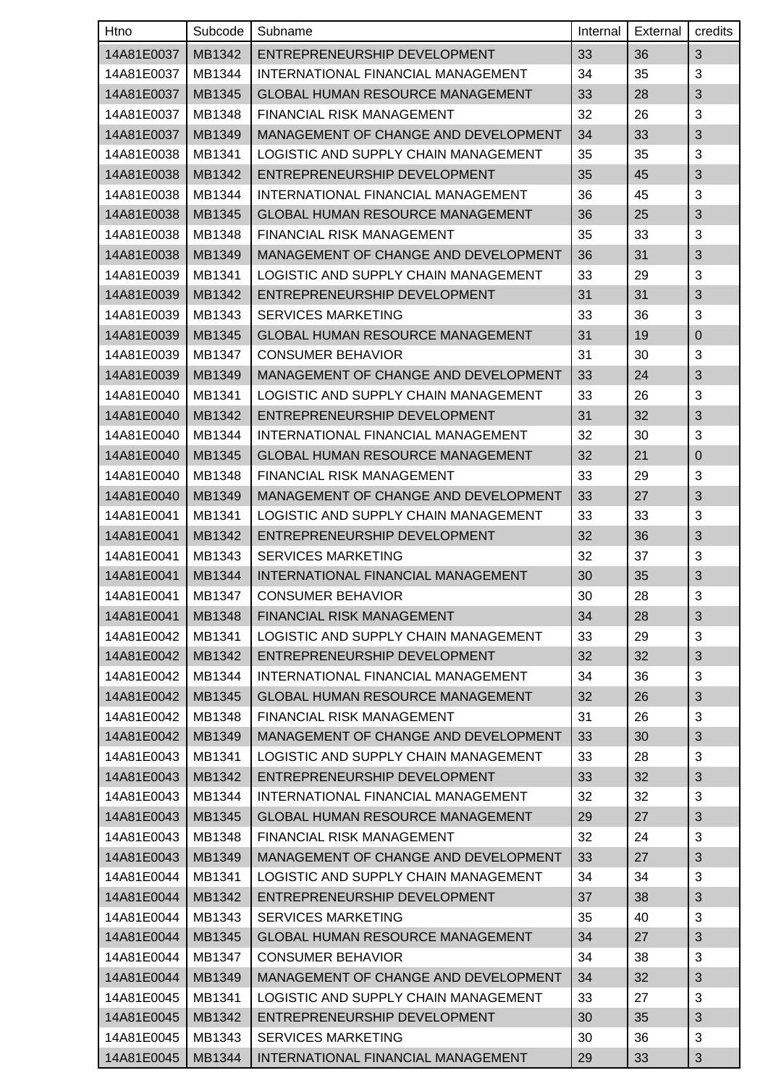| Htno       | Subcode | Subname                                 | Internal | External | credits      |
|------------|---------|-----------------------------------------|----------|----------|--------------|
| 14A81E0037 | MB1342  | ENTREPRENEURSHIP DEVELOPMENT            | 33       | 36       | 3            |
| 14A81E0037 | MB1344  | INTERNATIONAL FINANCIAL MANAGEMENT      | 34       | 35       | 3            |
| 14A81E0037 | MB1345  | <b>GLOBAL HUMAN RESOURCE MANAGEMENT</b> | 33       | 28       | 3            |
| 14A81E0037 | MB1348  | <b>FINANCIAL RISK MANAGEMENT</b>        | 32       | 26       | 3            |
| 14A81E0037 | MB1349  | MANAGEMENT OF CHANGE AND DEVELOPMENT    | 34       | 33       | 3            |
| 14A81E0038 | MB1341  | LOGISTIC AND SUPPLY CHAIN MANAGEMENT    | 35       | 35       | 3            |
| 14A81E0038 | MB1342  | ENTREPRENEURSHIP DEVELOPMENT            | 35       | 45       | 3            |
| 14A81E0038 | MB1344  | INTERNATIONAL FINANCIAL MANAGEMENT      | 36       | 45       | 3            |
| 14A81E0038 | MB1345  | <b>GLOBAL HUMAN RESOURCE MANAGEMENT</b> | 36       | 25       | 3            |
| 14A81E0038 | MB1348  | FINANCIAL RISK MANAGEMENT               | 35       | 33       | 3            |
| 14A81E0038 | MB1349  | MANAGEMENT OF CHANGE AND DEVELOPMENT    | 36       | 31       | 3            |
| 14A81E0039 | MB1341  | LOGISTIC AND SUPPLY CHAIN MANAGEMENT    | 33       | 29       | 3            |
| 14A81E0039 | MB1342  | ENTREPRENEURSHIP DEVELOPMENT            | 31       | 31       | 3            |
| 14A81E0039 | MB1343  | <b>SERVICES MARKETING</b>               | 33       | 36       | 3            |
| 14A81E0039 | MB1345  | <b>GLOBAL HUMAN RESOURCE MANAGEMENT</b> | 31       | 19       | 0            |
| 14A81E0039 | MB1347  | <b>CONSUMER BEHAVIOR</b>                | 31       | 30       | 3            |
| 14A81E0039 | MB1349  | MANAGEMENT OF CHANGE AND DEVELOPMENT    | 33       | 24       | 3            |
| 14A81E0040 | MB1341  | LOGISTIC AND SUPPLY CHAIN MANAGEMENT    | 33       | 26       | 3            |
| 14A81E0040 | MB1342  | ENTREPRENEURSHIP DEVELOPMENT            | 31       | 32       | 3            |
| 14A81E0040 | MB1344  | INTERNATIONAL FINANCIAL MANAGEMENT      | 32       | 30       | 3            |
| 14A81E0040 | MB1345  | <b>GLOBAL HUMAN RESOURCE MANAGEMENT</b> | 32       | 21       | 0            |
| 14A81E0040 | MB1348  | FINANCIAL RISK MANAGEMENT               | 33       | 29       | 3            |
| 14A81E0040 | MB1349  | MANAGEMENT OF CHANGE AND DEVELOPMENT    | 33       | 27       | 3            |
| 14A81E0041 | MB1341  | LOGISTIC AND SUPPLY CHAIN MANAGEMENT    | 33       | 33       | 3            |
| 14A81E0041 | MB1342  | ENTREPRENEURSHIP DEVELOPMENT            | 32       | 36       | 3            |
| 14A81E0041 | MB1343  | <b>SERVICES MARKETING</b>               | 32       | 37       | 3            |
| 14A81E0041 | MB1344  | INTERNATIONAL FINANCIAL MANAGEMENT      | 30       | 35       | 3            |
| 14A81E0041 | MB1347  | <b>CONSUMER BEHAVIOR</b>                | 30       | 28       | $\mathbf{3}$ |
| 14A81E0041 | MB1348  | FINANCIAL RISK MANAGEMENT               | 34       | 28       | 3            |
| 14A81E0042 | MB1341  | LOGISTIC AND SUPPLY CHAIN MANAGEMENT    | 33       | 29       | 3            |
| 14A81E0042 | MB1342  | ENTREPRENEURSHIP DEVELOPMENT            | 32       | 32       | 3            |
| 14A81E0042 | MB1344  | INTERNATIONAL FINANCIAL MANAGEMENT      | 34       | 36       | 3            |
| 14A81E0042 | MB1345  | <b>GLOBAL HUMAN RESOURCE MANAGEMENT</b> | 32       | 26       | 3            |
| 14A81E0042 | MB1348  | <b>FINANCIAL RISK MANAGEMENT</b>        | 31       | 26       | 3            |
| 14A81E0042 | MB1349  | MANAGEMENT OF CHANGE AND DEVELOPMENT    | 33       | 30       | 3            |
| 14A81E0043 | MB1341  | LOGISTIC AND SUPPLY CHAIN MANAGEMENT    | 33       | 28       | 3            |
| 14A81E0043 | MB1342  | ENTREPRENEURSHIP DEVELOPMENT            | 33       | 32       | 3            |
| 14A81E0043 | MB1344  | INTERNATIONAL FINANCIAL MANAGEMENT      | 32       | 32       | 3            |
| 14A81E0043 | MB1345  | GLOBAL HUMAN RESOURCE MANAGEMENT        | 29       | 27       | 3            |
| 14A81E0043 | MB1348  | FINANCIAL RISK MANAGEMENT               | 32       | 24       | 3            |
| 14A81E0043 | MB1349  | MANAGEMENT OF CHANGE AND DEVELOPMENT    | 33       | 27       | 3            |
| 14A81E0044 | MB1341  | LOGISTIC AND SUPPLY CHAIN MANAGEMENT    | 34       | 34       | 3            |
| 14A81E0044 | MB1342  | ENTREPRENEURSHIP DEVELOPMENT            | 37       | 38       | 3            |
| 14A81E0044 | MB1343  | <b>SERVICES MARKETING</b>               | 35       | 40       | 3            |
| 14A81E0044 | MB1345  | GLOBAL HUMAN RESOURCE MANAGEMENT        | 34       | 27       | 3            |
| 14A81E0044 | MB1347  | <b>CONSUMER BEHAVIOR</b>                | 34       | 38       | 3            |
| 14A81E0044 | MB1349  | MANAGEMENT OF CHANGE AND DEVELOPMENT    | 34       | 32       | 3            |
| 14A81E0045 | MB1341  | LOGISTIC AND SUPPLY CHAIN MANAGEMENT    | 33       | 27       | 3            |
| 14A81E0045 | MB1342  | ENTREPRENEURSHIP DEVELOPMENT            | 30       | 35       | 3            |
| 14A81E0045 | MB1343  | <b>SERVICES MARKETING</b>               | 30       | 36       | 3            |
| 14A81E0045 | MB1344  | INTERNATIONAL FINANCIAL MANAGEMENT      | 29       | 33       | 3            |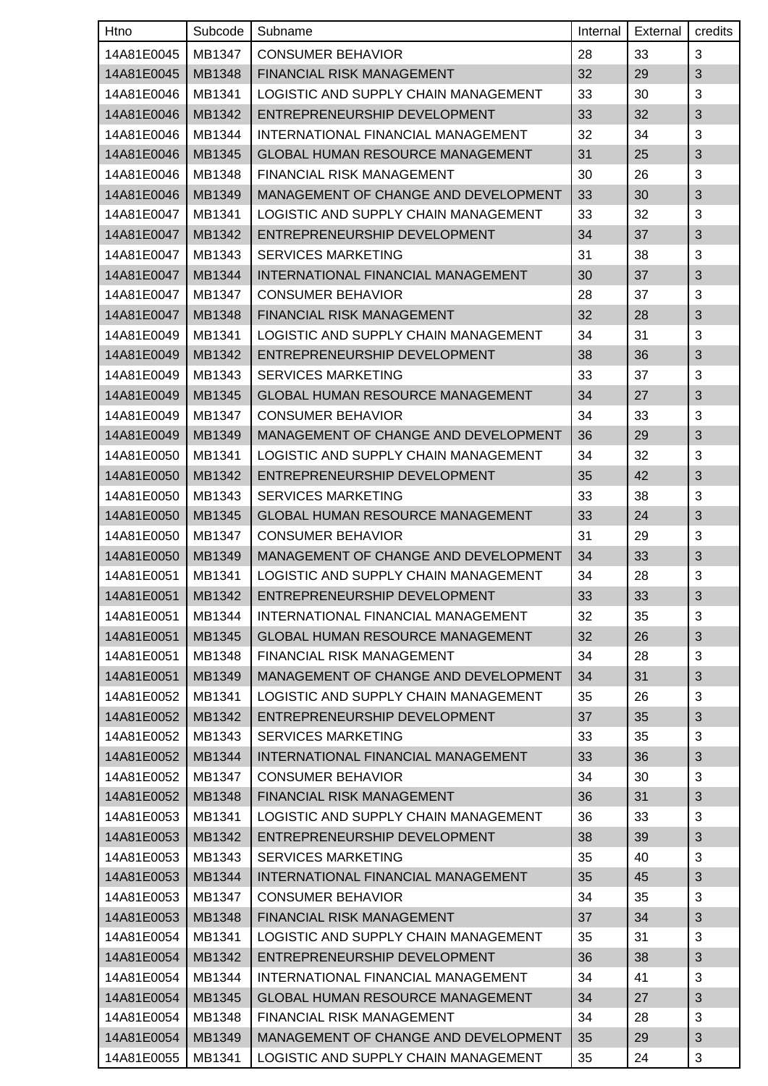| <b>Htno</b> | Subcode | Subname                                            | Internal | External | credits        |
|-------------|---------|----------------------------------------------------|----------|----------|----------------|
| 14A81E0045  | MB1347  | <b>CONSUMER BEHAVIOR</b>                           | 28       | 33       | 3              |
| 14A81E0045  | MB1348  | <b>FINANCIAL RISK MANAGEMENT</b>                   | 32       | 29       | 3              |
| 14A81E0046  | MB1341  | LOGISTIC AND SUPPLY CHAIN MANAGEMENT               | 33       | 30       | 3              |
| 14A81E0046  | MB1342  | ENTREPRENEURSHIP DEVELOPMENT                       | 33       | 32       | 3              |
| 14A81E0046  | MB1344  | INTERNATIONAL FINANCIAL MANAGEMENT                 | 32       | 34       | 3              |
| 14A81E0046  | MB1345  | <b>GLOBAL HUMAN RESOURCE MANAGEMENT</b>            | 31       | 25       | 3              |
| 14A81E0046  | MB1348  | FINANCIAL RISK MANAGEMENT                          | 30       | 26       | 3              |
| 14A81E0046  | MB1349  | MANAGEMENT OF CHANGE AND DEVELOPMENT               | 33       | 30       | 3              |
| 14A81E0047  | MB1341  | LOGISTIC AND SUPPLY CHAIN MANAGEMENT               | 33       | 32       | 3              |
| 14A81E0047  | MB1342  | ENTREPRENEURSHIP DEVELOPMENT                       | 34       | 37       | 3              |
| 14A81E0047  | MB1343  | <b>SERVICES MARKETING</b>                          | 31       | 38       | 3              |
| 14A81E0047  | MB1344  | INTERNATIONAL FINANCIAL MANAGEMENT                 | 30       | 37       | 3              |
| 14A81E0047  | MB1347  | <b>CONSUMER BEHAVIOR</b>                           | 28       | 37       | 3              |
| 14A81E0047  | MB1348  | FINANCIAL RISK MANAGEMENT                          | 32       | 28       | 3              |
| 14A81E0049  | MB1341  | LOGISTIC AND SUPPLY CHAIN MANAGEMENT               | 34       | 31       | 3              |
| 14A81E0049  | MB1342  | ENTREPRENEURSHIP DEVELOPMENT                       | 38       | 36       | 3              |
| 14A81E0049  | MB1343  | <b>SERVICES MARKETING</b>                          | 33       | 37       | 3              |
| 14A81E0049  | MB1345  | <b>GLOBAL HUMAN RESOURCE MANAGEMENT</b>            | 34       | 27       | 3              |
| 14A81E0049  | MB1347  | <b>CONSUMER BEHAVIOR</b>                           | 34       | 33       | 3              |
| 14A81E0049  | MB1349  | MANAGEMENT OF CHANGE AND DEVELOPMENT               | 36       | 29       | 3              |
| 14A81E0050  | MB1341  | LOGISTIC AND SUPPLY CHAIN MANAGEMENT               | 34       | 32       | 3              |
| 14A81E0050  | MB1342  | ENTREPRENEURSHIP DEVELOPMENT                       | 35       | 42       | 3              |
| 14A81E0050  | MB1343  | <b>SERVICES MARKETING</b>                          | 33       | 38       | 3              |
| 14A81E0050  | MB1345  | <b>GLOBAL HUMAN RESOURCE MANAGEMENT</b>            | 33       | 24       | 3              |
| 14A81E0050  | MB1347  | <b>CONSUMER BEHAVIOR</b>                           | 31       | 29       | 3              |
| 14A81E0050  | MB1349  | MANAGEMENT OF CHANGE AND DEVELOPMENT               | 34       | 33       | 3              |
| 14A81E0051  | MB1341  | LOGISTIC AND SUPPLY CHAIN MANAGEMENT               | 34       | 28       | 3              |
|             |         | 14A81E0051   MB1342   ENTREPRENEURSHIP DEVELOPMENT | 33       | 33       | $\mathfrak{S}$ |
| 14A81E0051  | MB1344  | INTERNATIONAL FINANCIAL MANAGEMENT                 | 32       | 35       | 3              |
| 14A81E0051  | MB1345  | <b>GLOBAL HUMAN RESOURCE MANAGEMENT</b>            | 32       | 26       | 3              |
| 14A81E0051  | MB1348  | FINANCIAL RISK MANAGEMENT                          | 34       | 28       | 3              |
| 14A81E0051  | MB1349  | MANAGEMENT OF CHANGE AND DEVELOPMENT               | 34       | 31       | 3              |
| 14A81E0052  | MB1341  | LOGISTIC AND SUPPLY CHAIN MANAGEMENT               | 35       | 26       | 3              |
| 14A81E0052  | MB1342  | ENTREPRENEURSHIP DEVELOPMENT                       | 37       | 35       | 3              |
| 14A81E0052  | MB1343  | <b>SERVICES MARKETING</b>                          | 33       | 35       | 3              |
| 14A81E0052  | MB1344  | INTERNATIONAL FINANCIAL MANAGEMENT                 | 33       | 36       | 3              |
| 14A81E0052  | MB1347  | <b>CONSUMER BEHAVIOR</b>                           | 34       | 30       | 3              |
| 14A81E0052  | MB1348  | FINANCIAL RISK MANAGEMENT                          | 36       | 31       | 3              |
| 14A81E0053  | MB1341  | LOGISTIC AND SUPPLY CHAIN MANAGEMENT               | 36       | 33       | 3              |
| 14A81E0053  | MB1342  | ENTREPRENEURSHIP DEVELOPMENT                       | 38       | 39       | 3              |
| 14A81E0053  | MB1343  | <b>SERVICES MARKETING</b>                          | 35       | 40       | 3              |
| 14A81E0053  | MB1344  | INTERNATIONAL FINANCIAL MANAGEMENT                 | 35       | 45       | 3              |
| 14A81E0053  | MB1347  | <b>CONSUMER BEHAVIOR</b>                           | 34       | 35       | 3              |
| 14A81E0053  | MB1348  | <b>FINANCIAL RISK MANAGEMENT</b>                   | 37       | 34       | 3              |
| 14A81E0054  | MB1341  | LOGISTIC AND SUPPLY CHAIN MANAGEMENT               | 35       | 31       | 3              |
| 14A81E0054  | MB1342  | ENTREPRENEURSHIP DEVELOPMENT                       | 36       | 38       | 3              |
| 14A81E0054  | MB1344  | INTERNATIONAL FINANCIAL MANAGEMENT                 | 34       | 41       | 3              |
| 14A81E0054  | MB1345  | <b>GLOBAL HUMAN RESOURCE MANAGEMENT</b>            | 34       | 27       | 3              |
| 14A81E0054  | MB1348  | <b>FINANCIAL RISK MANAGEMENT</b>                   | 34       | 28       | 3              |
| 14A81E0054  | MB1349  | MANAGEMENT OF CHANGE AND DEVELOPMENT               | 35       | 29       | 3              |
| 14A81E0055  | MB1341  | LOGISTIC AND SUPPLY CHAIN MANAGEMENT               | 35       | 24       | 3              |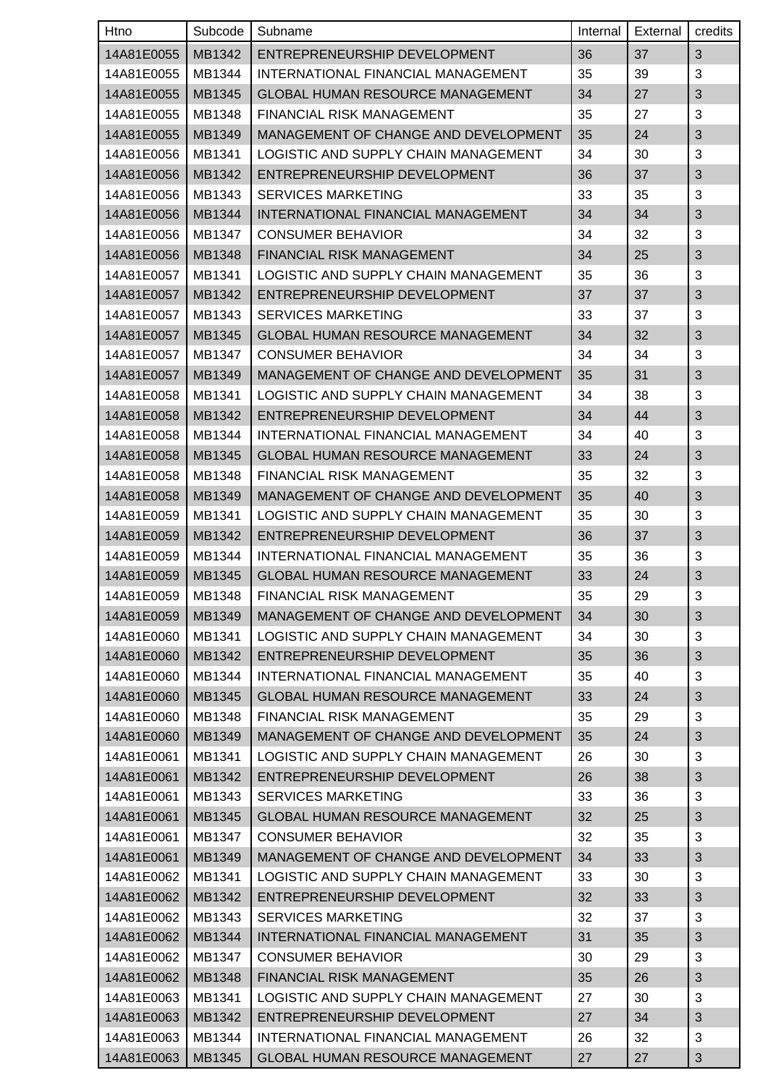| Htno       | Subcode | Subname                                 | Internal | External | credits                   |
|------------|---------|-----------------------------------------|----------|----------|---------------------------|
| 14A81E0055 | MB1342  | ENTREPRENEURSHIP DEVELOPMENT            | 36       | 37       | 3                         |
| 14A81E0055 | MB1344  | INTERNATIONAL FINANCIAL MANAGEMENT      | 35       | 39       | 3                         |
| 14A81E0055 | MB1345  | <b>GLOBAL HUMAN RESOURCE MANAGEMENT</b> | 34       | 27       | 3                         |
| 14A81E0055 | MB1348  | FINANCIAL RISK MANAGEMENT               | 35       | 27       | 3                         |
| 14A81E0055 | MB1349  | MANAGEMENT OF CHANGE AND DEVELOPMENT    | 35       | 24       | 3                         |
| 14A81E0056 | MB1341  | LOGISTIC AND SUPPLY CHAIN MANAGEMENT    | 34       | 30       | 3                         |
| 14A81E0056 | MB1342  | ENTREPRENEURSHIP DEVELOPMENT            | 36       | 37       | 3                         |
| 14A81E0056 | MB1343  | <b>SERVICES MARKETING</b>               | 33       | 35       | 3                         |
| 14A81E0056 | MB1344  | INTERNATIONAL FINANCIAL MANAGEMENT      | 34       | 34       | 3                         |
| 14A81E0056 | MB1347  | <b>CONSUMER BEHAVIOR</b>                | 34       | 32       | 3                         |
| 14A81E0056 | MB1348  | <b>FINANCIAL RISK MANAGEMENT</b>        | 34       | 25       | 3                         |
| 14A81E0057 | MB1341  | LOGISTIC AND SUPPLY CHAIN MANAGEMENT    | 35       | 36       | 3                         |
| 14A81E0057 | MB1342  | ENTREPRENEURSHIP DEVELOPMENT            | 37       | 37       | 3                         |
| 14A81E0057 | MB1343  | <b>SERVICES MARKETING</b>               | 33       | 37       | 3                         |
| 14A81E0057 | MB1345  | <b>GLOBAL HUMAN RESOURCE MANAGEMENT</b> | 34       | 32       | 3                         |
| 14A81E0057 | MB1347  | <b>CONSUMER BEHAVIOR</b>                | 34       | 34       | 3                         |
| 14A81E0057 | MB1349  | MANAGEMENT OF CHANGE AND DEVELOPMENT    | 35       | 31       | 3                         |
| 14A81E0058 | MB1341  | LOGISTIC AND SUPPLY CHAIN MANAGEMENT    | 34       | 38       | 3                         |
| 14A81E0058 | MB1342  | ENTREPRENEURSHIP DEVELOPMENT            | 34       | 44       | 3                         |
| 14A81E0058 | MB1344  | INTERNATIONAL FINANCIAL MANAGEMENT      | 34       | 40       | 3                         |
| 14A81E0058 | MB1345  | <b>GLOBAL HUMAN RESOURCE MANAGEMENT</b> | 33       | 24       | 3                         |
| 14A81E0058 | MB1348  | FINANCIAL RISK MANAGEMENT               | 35       | 32       | 3                         |
| 14A81E0058 | MB1349  | MANAGEMENT OF CHANGE AND DEVELOPMENT    | 35       | 40       | 3                         |
| 14A81E0059 | MB1341  | LOGISTIC AND SUPPLY CHAIN MANAGEMENT    | 35       | 30       | 3                         |
| 14A81E0059 | MB1342  | ENTREPRENEURSHIP DEVELOPMENT            | 36       | 37       | 3                         |
| 14A81E0059 | MB1344  | INTERNATIONAL FINANCIAL MANAGEMENT      | 35       | 36       | 3                         |
| 14A81E0059 | MB1345  | <b>GLOBAL HUMAN RESOURCE MANAGEMENT</b> | 33       | 24       | 3                         |
| 14A81E0059 | MB1348  | FINANCIAL RISK MANAGEMENT               | 35       | 29       | $\ensuremath{\mathsf{3}}$ |
| 14A81E0059 | MB1349  | MANAGEMENT OF CHANGE AND DEVELOPMENT    | 34       | 30       | 3                         |
| 14A81E0060 | MB1341  | LOGISTIC AND SUPPLY CHAIN MANAGEMENT    | 34       | 30       | 3                         |
| 14A81E0060 | MB1342  | ENTREPRENEURSHIP DEVELOPMENT            | 35       | 36       | $\mathfrak{S}$            |
| 14A81E0060 | MB1344  | INTERNATIONAL FINANCIAL MANAGEMENT      | 35       | 40       | 3                         |
| 14A81E0060 | MB1345  | <b>GLOBAL HUMAN RESOURCE MANAGEMENT</b> | 33       | 24       | 3                         |
| 14A81E0060 | MB1348  | <b>FINANCIAL RISK MANAGEMENT</b>        | 35       | 29       | 3                         |
| 14A81E0060 | MB1349  | MANAGEMENT OF CHANGE AND DEVELOPMENT    | 35       | 24       | 3                         |
| 14A81E0061 | MB1341  | LOGISTIC AND SUPPLY CHAIN MANAGEMENT    | 26       | 30       | 3                         |
| 14A81E0061 | MB1342  | ENTREPRENEURSHIP DEVELOPMENT            | 26       | 38       | 3                         |
| 14A81E0061 | MB1343  | <b>SERVICES MARKETING</b>               | 33       | 36       | 3                         |
| 14A81E0061 | MB1345  | <b>GLOBAL HUMAN RESOURCE MANAGEMENT</b> | 32       | 25       | 3                         |
| 14A81E0061 | MB1347  | <b>CONSUMER BEHAVIOR</b>                | 32       | 35       | 3                         |
| 14A81E0061 | MB1349  | MANAGEMENT OF CHANGE AND DEVELOPMENT    | 34       | 33       | 3                         |
| 14A81E0062 | MB1341  | LOGISTIC AND SUPPLY CHAIN MANAGEMENT    | 33       | 30       | 3                         |
| 14A81E0062 | MB1342  | ENTREPRENEURSHIP DEVELOPMENT            | 32       | 33       | 3                         |
| 14A81E0062 | MB1343  | <b>SERVICES MARKETING</b>               | 32       | 37       | 3                         |
| 14A81E0062 | MB1344  | INTERNATIONAL FINANCIAL MANAGEMENT      | 31       | 35       | $\sqrt{3}$                |
| 14A81E0062 | MB1347  | <b>CONSUMER BEHAVIOR</b>                | 30       | 29       | 3                         |
| 14A81E0062 | MB1348  | <b>FINANCIAL RISK MANAGEMENT</b>        | 35       | 26       | 3                         |
| 14A81E0063 | MB1341  | LOGISTIC AND SUPPLY CHAIN MANAGEMENT    | 27       | 30       | 3                         |
| 14A81E0063 | MB1342  | ENTREPRENEURSHIP DEVELOPMENT            | 27       | 34       | 3                         |
| 14A81E0063 | MB1344  | INTERNATIONAL FINANCIAL MANAGEMENT      | 26       | 32       | 3                         |
| 14A81E0063 | MB1345  | <b>GLOBAL HUMAN RESOURCE MANAGEMENT</b> | 27       | 27       | 3                         |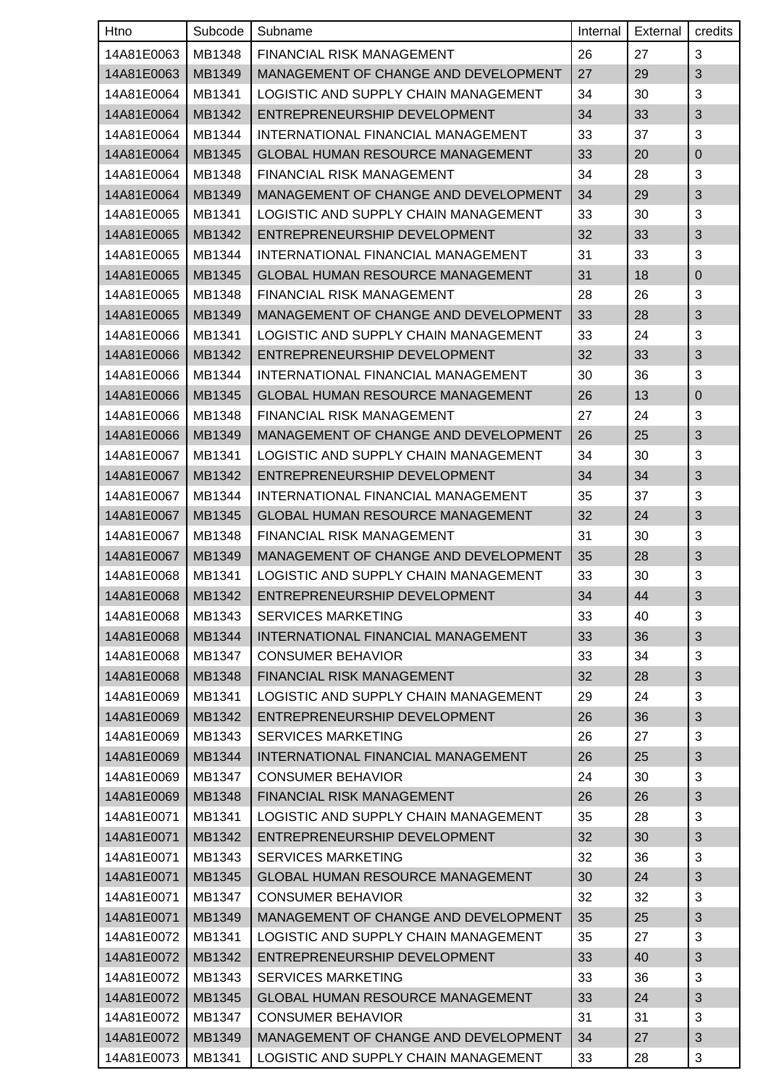| Htno       | Subcode | Subname                                            | Internal | External | credits        |
|------------|---------|----------------------------------------------------|----------|----------|----------------|
| 14A81E0063 | MB1348  | <b>FINANCIAL RISK MANAGEMENT</b>                   | 26       | 27       | 3              |
| 14A81E0063 | MB1349  | MANAGEMENT OF CHANGE AND DEVELOPMENT               | 27       | 29       | 3              |
| 14A81E0064 | MB1341  | LOGISTIC AND SUPPLY CHAIN MANAGEMENT               | 34       | 30       | 3              |
| 14A81E0064 | MB1342  | ENTREPRENEURSHIP DEVELOPMENT                       | 34       | 33       | 3              |
| 14A81E0064 | MB1344  | INTERNATIONAL FINANCIAL MANAGEMENT                 | 33       | 37       | 3              |
| 14A81E0064 | MB1345  | <b>GLOBAL HUMAN RESOURCE MANAGEMENT</b>            | 33       | 20       | $\overline{0}$ |
| 14A81E0064 | MB1348  | <b>FINANCIAL RISK MANAGEMENT</b>                   | 34       | 28       | 3              |
| 14A81E0064 | MB1349  | MANAGEMENT OF CHANGE AND DEVELOPMENT               | 34       | 29       | 3              |
| 14A81E0065 | MB1341  | LOGISTIC AND SUPPLY CHAIN MANAGEMENT               | 33       | 30       | 3              |
| 14A81E0065 | MB1342  | ENTREPRENEURSHIP DEVELOPMENT                       | 32       | 33       | 3              |
| 14A81E0065 | MB1344  | INTERNATIONAL FINANCIAL MANAGEMENT                 | 31       | 33       | 3              |
| 14A81E0065 | MB1345  | <b>GLOBAL HUMAN RESOURCE MANAGEMENT</b>            | 31       | 18       | $\mathbf 0$    |
| 14A81E0065 | MB1348  | <b>FINANCIAL RISK MANAGEMENT</b>                   | 28       | 26       | 3              |
| 14A81E0065 | MB1349  | MANAGEMENT OF CHANGE AND DEVELOPMENT               | 33       | 28       | 3              |
| 14A81E0066 | MB1341  | LOGISTIC AND SUPPLY CHAIN MANAGEMENT               | 33       | 24       | 3              |
| 14A81E0066 | MB1342  | ENTREPRENEURSHIP DEVELOPMENT                       | 32       | 33       | 3              |
| 14A81E0066 | MB1344  | INTERNATIONAL FINANCIAL MANAGEMENT                 | 30       | 36       | 3              |
| 14A81E0066 | MB1345  | <b>GLOBAL HUMAN RESOURCE MANAGEMENT</b>            | 26       | 13       | $\mathbf 0$    |
| 14A81E0066 | MB1348  | FINANCIAL RISK MANAGEMENT                          | 27       | 24       | 3              |
| 14A81E0066 | MB1349  | MANAGEMENT OF CHANGE AND DEVELOPMENT               | 26       | 25       | 3              |
| 14A81E0067 | MB1341  | LOGISTIC AND SUPPLY CHAIN MANAGEMENT               | 34       | 30       | 3              |
| 14A81E0067 | MB1342  | ENTREPRENEURSHIP DEVELOPMENT                       | 34       | 34       | 3              |
| 14A81E0067 | MB1344  | INTERNATIONAL FINANCIAL MANAGEMENT                 | 35       | 37       | 3              |
| 14A81E0067 | MB1345  | <b>GLOBAL HUMAN RESOURCE MANAGEMENT</b>            | 32       | 24       | $\mathfrak{B}$ |
| 14A81E0067 | MB1348  | <b>FINANCIAL RISK MANAGEMENT</b>                   | 31       | 30       | 3              |
| 14A81E0067 | MB1349  | MANAGEMENT OF CHANGE AND DEVELOPMENT               | 35       | 28       | 3              |
| 14A81E0068 | MB1341  | LOGISTIC AND SUPPLY CHAIN MANAGEMENT               | 33       | 30       | 3              |
|            |         | 14A81E0068   MB1342   ENTREPRENEURSHIP DEVELOPMENT | 34       | 44       | $\sqrt{3}$     |
| 14A81E0068 | MB1343  | <b>SERVICES MARKETING</b>                          | 33       | 40       | 3              |
| 14A81E0068 | MB1344  | INTERNATIONAL FINANCIAL MANAGEMENT                 | 33       | 36       | $\mathfrak{B}$ |
| 14A81E0068 | MB1347  | <b>CONSUMER BEHAVIOR</b>                           | 33       | 34       | 3              |
| 14A81E0068 | MB1348  | FINANCIAL RISK MANAGEMENT                          | 32       | 28       | 3              |
| 14A81E0069 | MB1341  | LOGISTIC AND SUPPLY CHAIN MANAGEMENT               | 29       | 24       | 3              |
| 14A81E0069 | MB1342  | ENTREPRENEURSHIP DEVELOPMENT                       | 26       | 36       | 3              |
| 14A81E0069 | MB1343  | <b>SERVICES MARKETING</b>                          | 26       | 27       | 3              |
| 14A81E0069 | MB1344  | INTERNATIONAL FINANCIAL MANAGEMENT                 | 26       | 25       | 3              |
| 14A81E0069 | MB1347  | <b>CONSUMER BEHAVIOR</b>                           | 24       | 30       | 3              |
| 14A81E0069 | MB1348  | FINANCIAL RISK MANAGEMENT                          | 26       | 26       | 3              |
| 14A81E0071 | MB1341  | LOGISTIC AND SUPPLY CHAIN MANAGEMENT               | 35       | 28       | 3              |
| 14A81E0071 | MB1342  | ENTREPRENEURSHIP DEVELOPMENT                       | 32       | 30       | $\mathfrak{B}$ |
| 14A81E0071 | MB1343  | <b>SERVICES MARKETING</b>                          | 32       | 36       | 3              |
| 14A81E0071 | MB1345  | <b>GLOBAL HUMAN RESOURCE MANAGEMENT</b>            | 30       | 24       | 3              |
| 14A81E0071 | MB1347  | <b>CONSUMER BEHAVIOR</b>                           | 32       | 32       | 3              |
| 14A81E0071 | MB1349  | MANAGEMENT OF CHANGE AND DEVELOPMENT               | 35       | 25       | $\mathfrak{S}$ |
| 14A81E0072 | MB1341  | LOGISTIC AND SUPPLY CHAIN MANAGEMENT               | 35       | 27       | 3              |
| 14A81E0072 | MB1342  | ENTREPRENEURSHIP DEVELOPMENT                       | 33       | 40       | 3              |
| 14A81E0072 | MB1343  | <b>SERVICES MARKETING</b>                          | 33       | 36       | 3              |
| 14A81E0072 | MB1345  | GLOBAL HUMAN RESOURCE MANAGEMENT                   | 33       | 24       | 3              |
| 14A81E0072 | MB1347  | <b>CONSUMER BEHAVIOR</b>                           | 31       | 31       | 3              |
| 14A81E0072 | MB1349  | MANAGEMENT OF CHANGE AND DEVELOPMENT               | 34       | 27       | $\sqrt{3}$     |
| 14A81E0073 | MB1341  | LOGISTIC AND SUPPLY CHAIN MANAGEMENT               | 33       | 28       | 3              |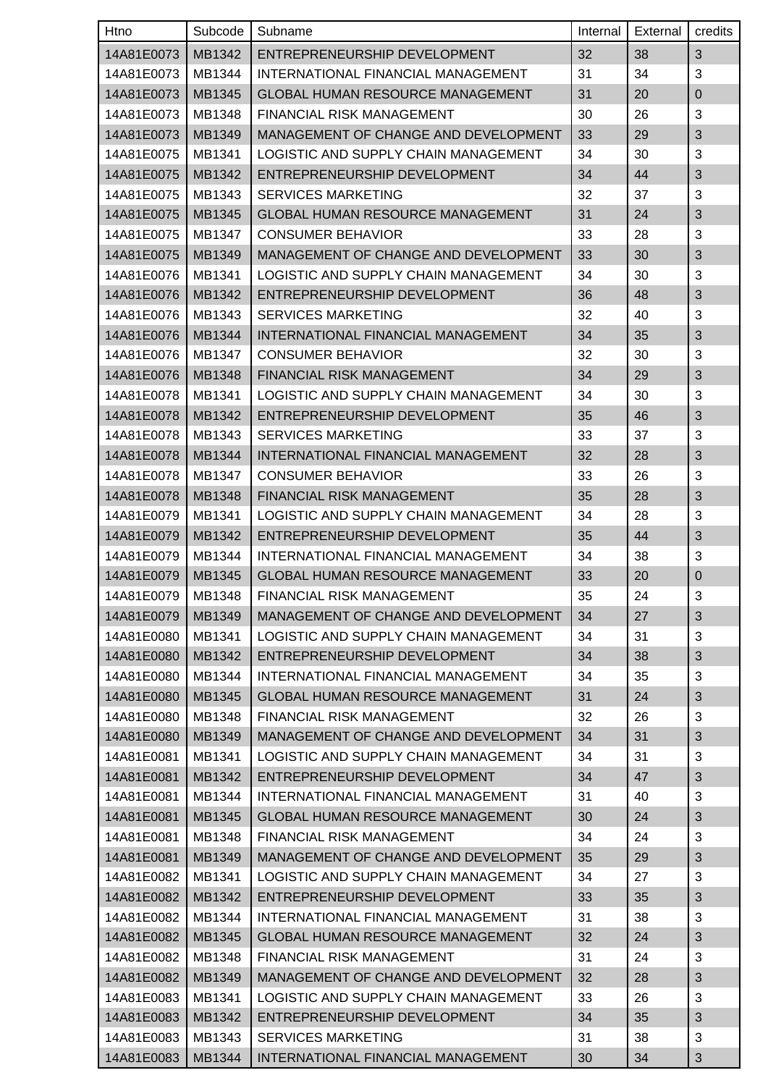| Htno       | Subcode | Subname                                 | Internal | External | credits        |
|------------|---------|-----------------------------------------|----------|----------|----------------|
| 14A81E0073 | MB1342  | ENTREPRENEURSHIP DEVELOPMENT            | 32       | 38       | 3              |
| 14A81E0073 | MB1344  | INTERNATIONAL FINANCIAL MANAGEMENT      | 31       | 34       | 3              |
| 14A81E0073 | MB1345  | <b>GLOBAL HUMAN RESOURCE MANAGEMENT</b> | 31       | 20       | $\mathbf 0$    |
| 14A81E0073 | MB1348  | <b>FINANCIAL RISK MANAGEMENT</b>        | 30       | 26       | 3              |
| 14A81E0073 | MB1349  | MANAGEMENT OF CHANGE AND DEVELOPMENT    | 33       | 29       | 3              |
| 14A81E0075 | MB1341  | LOGISTIC AND SUPPLY CHAIN MANAGEMENT    | 34       | 30       | 3              |
| 14A81E0075 | MB1342  | ENTREPRENEURSHIP DEVELOPMENT            | 34       | 44       | 3              |
| 14A81E0075 | MB1343  | <b>SERVICES MARKETING</b>               | 32       | 37       | 3              |
| 14A81E0075 | MB1345  | <b>GLOBAL HUMAN RESOURCE MANAGEMENT</b> | 31       | 24       | 3              |
| 14A81E0075 | MB1347  | <b>CONSUMER BEHAVIOR</b>                | 33       | 28       | 3              |
| 14A81E0075 | MB1349  | MANAGEMENT OF CHANGE AND DEVELOPMENT    | 33       | 30       | 3              |
| 14A81E0076 | MB1341  | LOGISTIC AND SUPPLY CHAIN MANAGEMENT    | 34       | 30       | 3              |
| 14A81E0076 | MB1342  | ENTREPRENEURSHIP DEVELOPMENT            | 36       | 48       | 3              |
| 14A81E0076 | MB1343  | <b>SERVICES MARKETING</b>               | 32       | 40       | 3              |
| 14A81E0076 | MB1344  | INTERNATIONAL FINANCIAL MANAGEMENT      | 34       | 35       | 3              |
| 14A81E0076 | MB1347  | <b>CONSUMER BEHAVIOR</b>                | 32       | 30       | 3              |
| 14A81E0076 | MB1348  | <b>FINANCIAL RISK MANAGEMENT</b>        | 34       | 29       | 3              |
| 14A81E0078 | MB1341  | LOGISTIC AND SUPPLY CHAIN MANAGEMENT    | 34       | 30       | 3              |
| 14A81E0078 | MB1342  | ENTREPRENEURSHIP DEVELOPMENT            | 35       | 46       | 3              |
| 14A81E0078 | MB1343  | <b>SERVICES MARKETING</b>               | 33       | 37       | 3              |
| 14A81E0078 | MB1344  | INTERNATIONAL FINANCIAL MANAGEMENT      | 32       | 28       | 3              |
| 14A81E0078 | MB1347  | <b>CONSUMER BEHAVIOR</b>                | 33       | 26       | 3              |
| 14A81E0078 | MB1348  | FINANCIAL RISK MANAGEMENT               | 35       | 28       | 3              |
| 14A81E0079 | MB1341  | LOGISTIC AND SUPPLY CHAIN MANAGEMENT    | 34       | 28       | 3              |
| 14A81E0079 | MB1342  | ENTREPRENEURSHIP DEVELOPMENT            | 35       | 44       | 3              |
| 14A81E0079 | MB1344  | INTERNATIONAL FINANCIAL MANAGEMENT      | 34       | 38       | 3              |
| 14A81E0079 | MB1345  | <b>GLOBAL HUMAN RESOURCE MANAGEMENT</b> | 33       | 20       | $\pmb{0}$      |
| 14A81E0079 | MB1348  | FINANCIAL RISK MANAGEMENT               | 35       | 24       | $\mathbf{3}$   |
| 14A81E0079 | MB1349  | MANAGEMENT OF CHANGE AND DEVELOPMENT    | 34       | 27       | 3              |
| 14A81E0080 | MB1341  | LOGISTIC AND SUPPLY CHAIN MANAGEMENT    | 34       | 31       | 3              |
| 14A81E0080 | MB1342  | ENTREPRENEURSHIP DEVELOPMENT            | 34       | 38       | 3              |
| 14A81E0080 | MB1344  | INTERNATIONAL FINANCIAL MANAGEMENT      | 34       | 35       | 3              |
| 14A81E0080 | MB1345  | <b>GLOBAL HUMAN RESOURCE MANAGEMENT</b> | 31       | 24       | 3              |
| 14A81E0080 | MB1348  | <b>FINANCIAL RISK MANAGEMENT</b>        | 32       | 26       | 3              |
| 14A81E0080 | MB1349  | MANAGEMENT OF CHANGE AND DEVELOPMENT    | 34       | 31       | 3              |
| 14A81E0081 | MB1341  | LOGISTIC AND SUPPLY CHAIN MANAGEMENT    | 34       | 31       | 3              |
| 14A81E0081 | MB1342  | ENTREPRENEURSHIP DEVELOPMENT            | 34       | 47       | 3              |
| 14A81E0081 | MB1344  | INTERNATIONAL FINANCIAL MANAGEMENT      | 31       | 40       | 3              |
| 14A81E0081 | MB1345  | GLOBAL HUMAN RESOURCE MANAGEMENT        | 30       | 24       | 3              |
| 14A81E0081 | MB1348  | FINANCIAL RISK MANAGEMENT               | 34       | 24       | 3              |
| 14A81E0081 | MB1349  | MANAGEMENT OF CHANGE AND DEVELOPMENT    | 35       | 29       | 3              |
| 14A81E0082 | MB1341  | LOGISTIC AND SUPPLY CHAIN MANAGEMENT    | 34       | 27       | 3              |
| 14A81E0082 | MB1342  | ENTREPRENEURSHIP DEVELOPMENT            | 33       | 35       | 3              |
| 14A81E0082 | MB1344  | INTERNATIONAL FINANCIAL MANAGEMENT      | 31       | 38       | 3              |
| 14A81E0082 | MB1345  | <b>GLOBAL HUMAN RESOURCE MANAGEMENT</b> | 32       | 24       | 3              |
| 14A81E0082 | MB1348  | FINANCIAL RISK MANAGEMENT               | 31       | 24       | 3              |
| 14A81E0082 | MB1349  | MANAGEMENT OF CHANGE AND DEVELOPMENT    | 32       | 28       | 3              |
| 14A81E0083 | MB1341  | LOGISTIC AND SUPPLY CHAIN MANAGEMENT    | 33       | 26       | 3              |
| 14A81E0083 | MB1342  | ENTREPRENEURSHIP DEVELOPMENT            | 34       | 35       | 3              |
| 14A81E0083 | MB1343  | <b>SERVICES MARKETING</b>               | 31       | 38       | 3              |
| 14A81E0083 | MB1344  | INTERNATIONAL FINANCIAL MANAGEMENT      | 30       | 34       | $\mathfrak{S}$ |